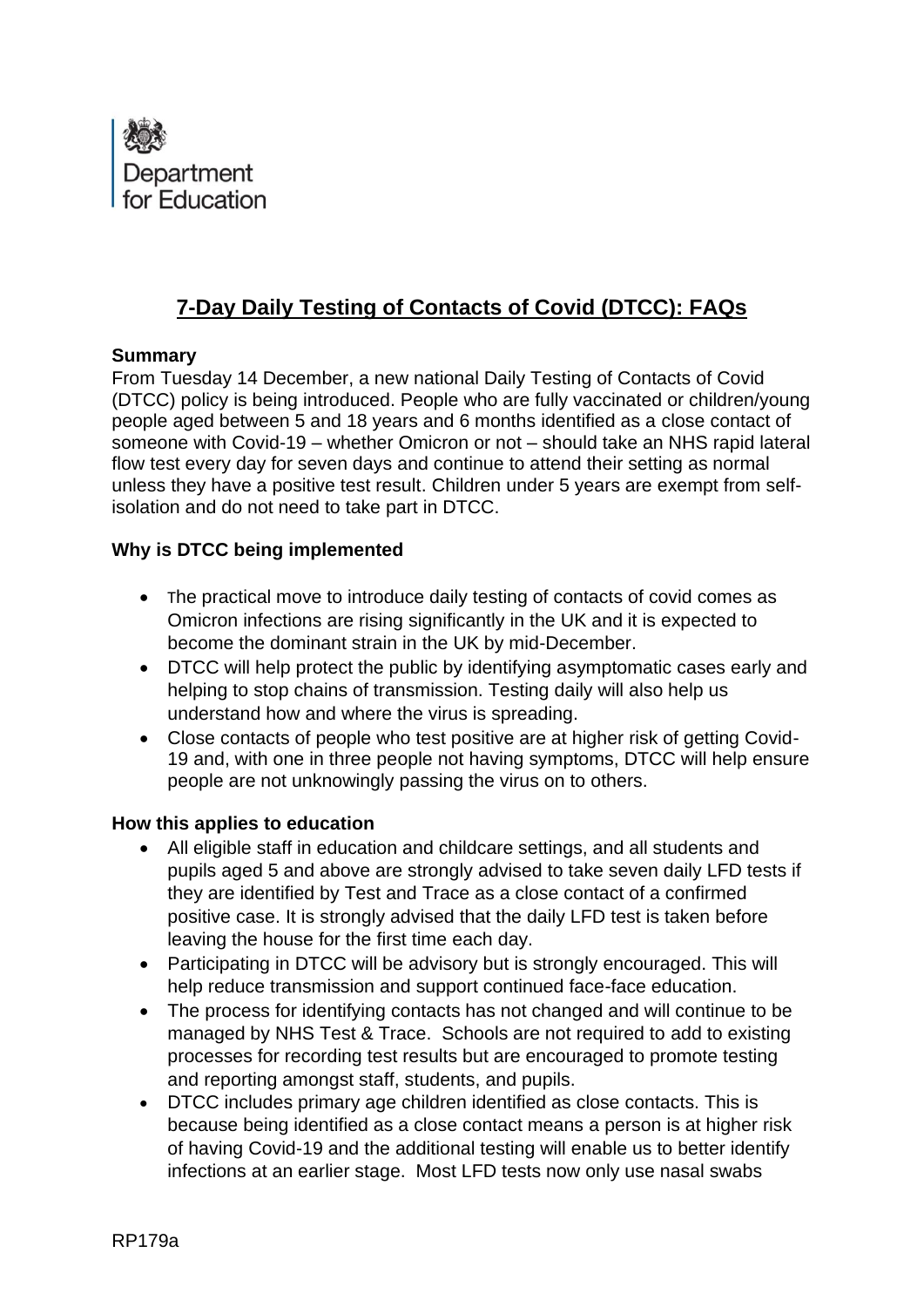

# **7-Day Daily Testing of Contacts of Covid (DTCC): FAQs**

#### **Summary**

From Tuesday 14 December, a new national Daily Testing of Contacts of Covid (DTCC) policy is being introduced. People who are fully vaccinated or children/young people aged between 5 and 18 years and 6 months identified as a close contact of someone with Covid-19 – whether Omicron or not – should take an NHS rapid lateral flow test every day for seven days and continue to attend their setting as normal unless they have a positive test result. Children under 5 years are exempt from selfisolation and do not need to take part in DTCC.

### **Why is DTCC being implemented**

- The practical move to introduce daily testing of contacts of covid comes as Omicron infections are rising significantly in the UK and it is expected to become the dominant strain in the UK by mid-December.
- DTCC will help protect the public by identifying asymptomatic cases early and helping to stop chains of transmission. Testing daily will also help us understand how and where the virus is spreading.
- Close contacts of people who test positive are at higher risk of getting Covid-19 and, with one in three people not having symptoms, DTCC will help ensure people are not unknowingly passing the virus on to others.

#### **How this applies to education**

- All eligible staff in education and childcare settings, and all students and pupils aged 5 and above are strongly advised to take seven daily LFD tests if they are identified by Test and Trace as a close contact of a confirmed positive case. It is strongly advised that the daily LFD test is taken before leaving the house for the first time each day.
- Participating in DTCC will be advisory but is strongly encouraged. This will help reduce transmission and support continued face-face education.
- The process for identifying contacts has not changed and will continue to be managed by NHS Test & Trace. Schools are not required to add to existing processes for recording test results but are encouraged to promote testing and reporting amongst staff, students, and pupils.
- DTCC includes primary age children identified as close contacts. This is because being identified as a close contact means a person is at higher risk of having Covid-19 and the additional testing will enable us to better identify infections at an earlier stage. Most LFD tests now only use nasal swabs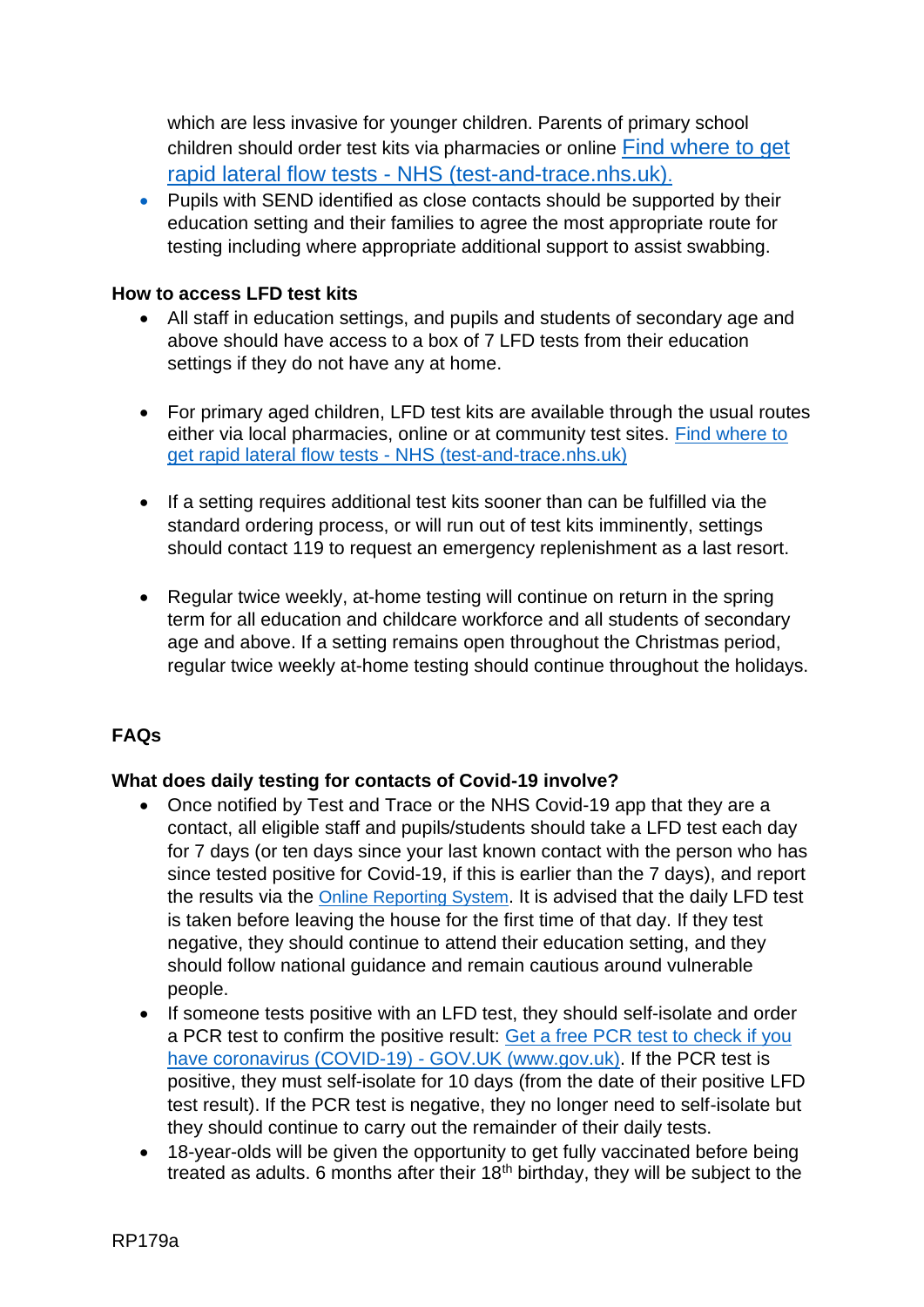which are less invasive for younger children. Parents of primary school children should order test kits via pharmacies or online [Find where to get](https://www.gov.uk/order-coronavirus-rapid-lateral-flow-tests)  rapid lateral flow tests - [NHS \(test-and-trace.nhs.uk\)](https://www.gov.uk/order-coronavirus-rapid-lateral-flow-tests).

• Pupils with SEND identified as close contacts should be supported by their education setting and their families to agree the most appropriate route for testing including where appropriate additional support to assist swabbing.

#### **How to access LFD test kits**

- All staff in education settings, and pupils and students of secondary age and above should have access to a box of 7 LFD tests from their education settings if they do not have any at home.
- For primary aged children, LFD test kits are available through the usual routes either via local pharmacies, online or at community test sites. [Find where to](https://maps.test-and-trace.nhs.uk/)  get rapid lateral flow tests - [NHS \(test-and-trace.nhs.uk\)](https://maps.test-and-trace.nhs.uk/)
- If a setting requires additional test kits sooner than can be fulfilled via the standard ordering process, or will run out of test kits imminently, settings should contact 119 to request an emergency replenishment as a last resort.
- Regular twice weekly, at-home testing will continue on return in the spring term for all education and childcare workforce and all students of secondary age and above. If a setting remains open throughout the Christmas period, regular twice weekly at-home testing should continue throughout the holidays.

### **FAQs**

### **What does daily testing for contacts of Covid-19 involve?**

- Once notified by Test and Trace or the NHS Covid-19 app that they are a contact, all eligible staff and pupils/students should take a LFD test each day for 7 days (or ten days since your last known contact with the person who has since tested positive for Covid-19, if this is earlier than the 7 days), and report the results via the [Online Reporting S](https://www.gov.uk/report-covid19-result)ystem. It is advised that the daily LFD test is taken before leaving the house for the first time of that day. If they test negative, they should continue to attend their education setting, and they should follow national guidance and remain cautious around vulnerable people.
- If someone tests positive with an LFD test, they should self-isolate and order a PCR test to confirm the positive result: [Get a free PCR test to check if you](https://www.gov.uk/get-coronavirus-test)  [have coronavirus \(COVID-19\) -](https://www.gov.uk/get-coronavirus-test) GOV.UK (www.gov.uk). If the PCR test is positive, they must self-isolate for 10 days (from the date of their positive LFD test result). If the PCR test is negative, they no longer need to self-isolate but they should continue to carry out the remainder of their daily tests.
- 18-year-olds will be given the opportunity to get fully vaccinated before being treated as adults. 6 months after their  $18<sup>th</sup>$  birthday, they will be subject to the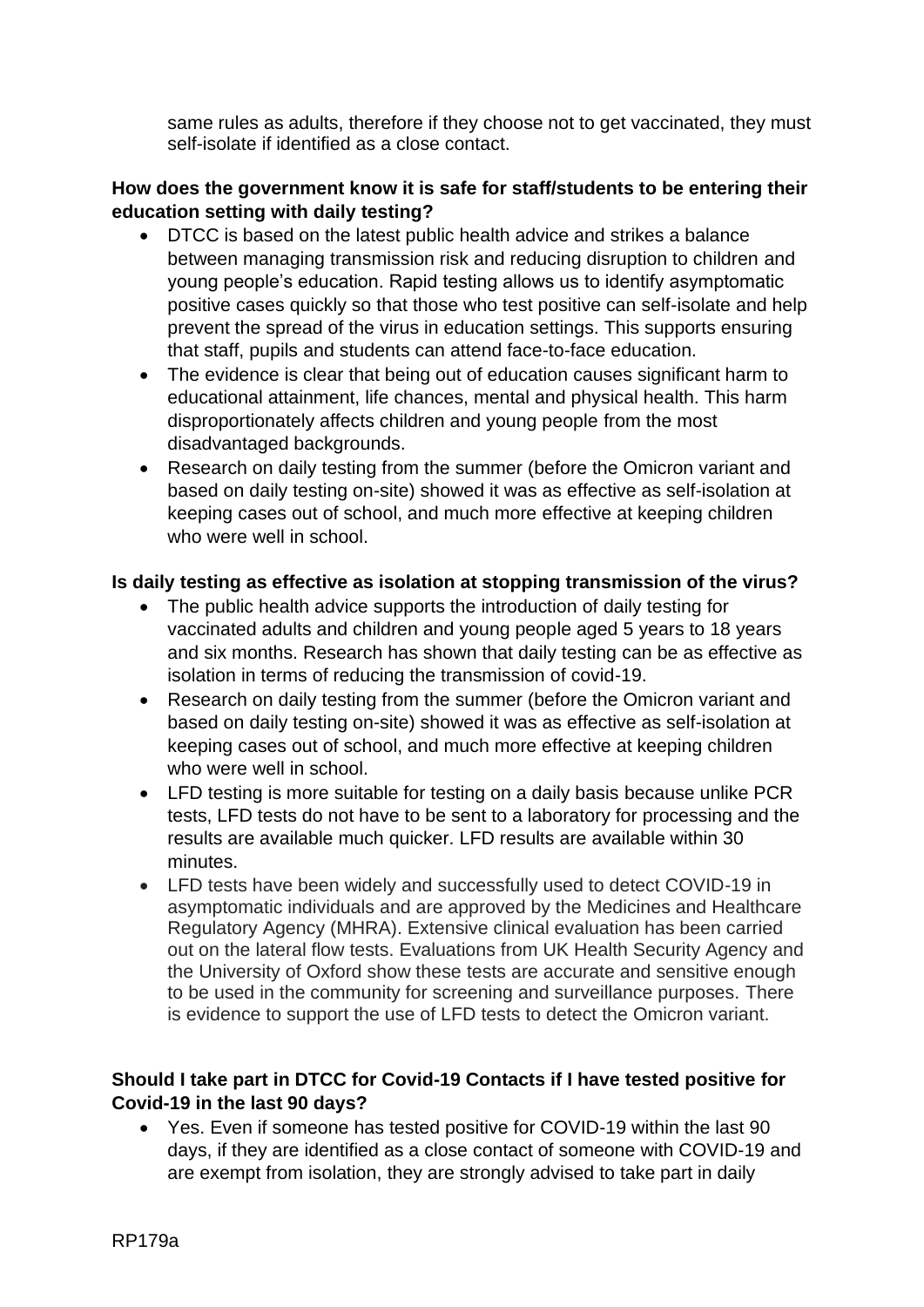same rules as adults, therefore if they choose not to get vaccinated, they must self-isolate if identified as a close contact.

#### **How does the government know it is safe for staff/students to be entering their education setting with daily testing?**

- DTCC is based on the latest public health advice and strikes a balance between managing transmission risk and reducing disruption to children and young people's education. Rapid testing allows us to identify asymptomatic positive cases quickly so that those who test positive can self-isolate and help prevent the spread of the virus in education settings. This supports ensuring that staff, pupils and students can attend face-to-face education.
- The evidence is clear that being out of education causes significant harm to educational attainment, life chances, mental and physical health. This harm disproportionately affects children and young people from the most disadvantaged backgrounds.
- Research on daily testing from the summer (before the Omicron variant and based on daily testing on-site) showed it was as effective as self-isolation at keeping cases out of school, and much more effective at keeping children who were well in school.

#### **Is daily testing as effective as isolation at stopping transmission of the virus?**

- The public health advice supports the introduction of daily testing for vaccinated adults and children and young people aged 5 years to 18 years and six months. Research has shown that daily testing can be as effective as isolation in terms of reducing the transmission of covid-19.
- Research on daily testing from the summer (before the Omicron variant and based on daily testing on-site) showed it was as effective as self-isolation at keeping cases out of school, and much more effective at keeping children who were well in school.
- LFD testing is more suitable for testing on a daily basis because unlike PCR tests, LFD tests do not have to be sent to a laboratory for processing and the results are available much quicker. LFD results are available within 30 minutes.
- LFD tests have been widely and successfully used to detect COVID-19 in asymptomatic individuals and are approved by the Medicines and Healthcare Regulatory Agency (MHRA). Extensive clinical evaluation has been carried out on the lateral flow tests. Evaluations from UK Health Security Agency and the University of Oxford show these tests are accurate and sensitive enough to be used in the community for screening and surveillance purposes. There is evidence to support the use of LFD tests to detect the Omicron variant.

### **Should I take part in DTCC for Covid-19 Contacts if I have tested positive for Covid-19 in the last 90 days?**

• Yes. Even if someone has tested positive for COVID-19 within the last 90 days, if they are identified as a close contact of someone with COVID-19 and are exempt from isolation, they are strongly advised to take part in daily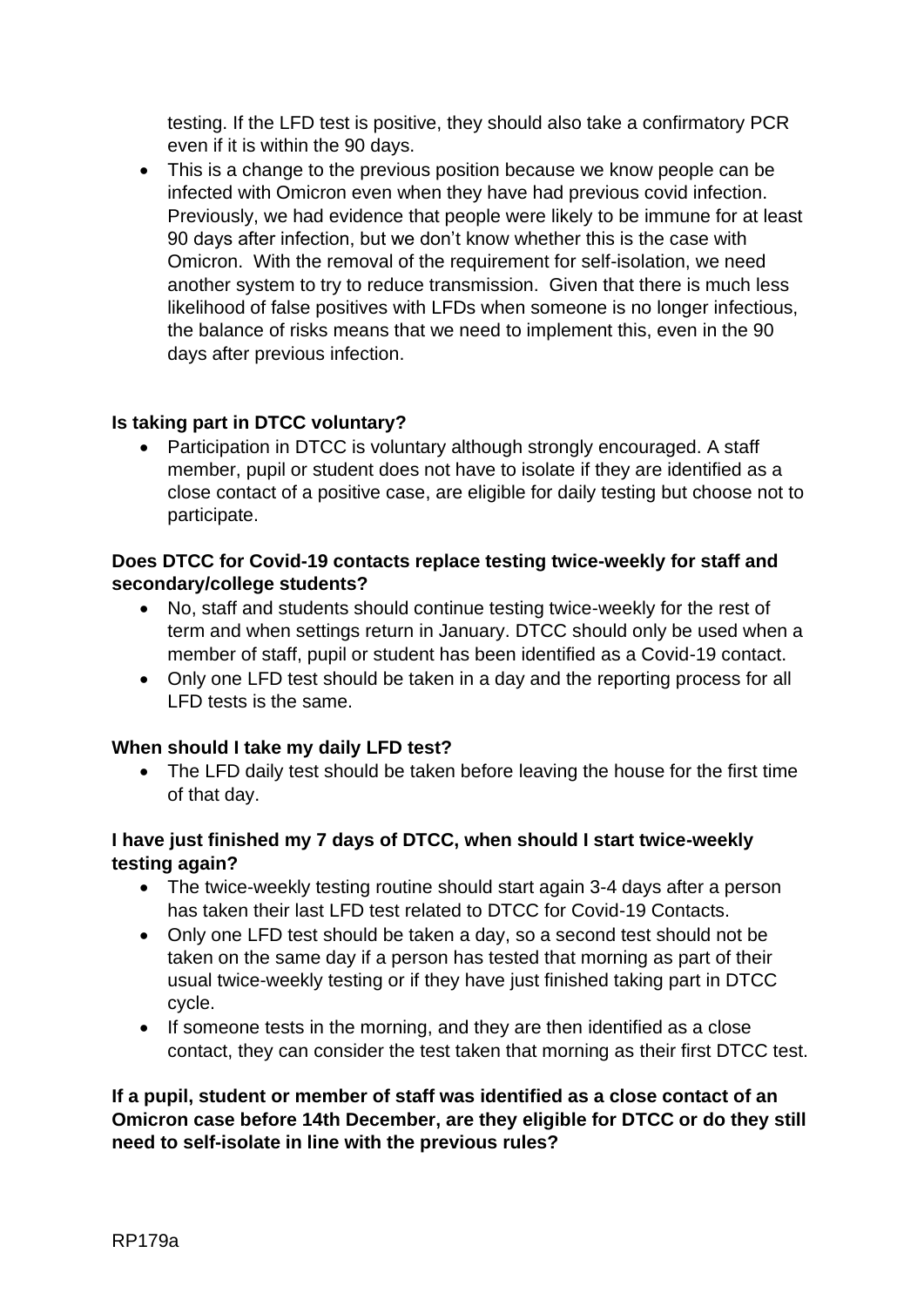testing. If the LFD test is positive, they should also take a confirmatory PCR even if it is within the 90 days.

• This is a change to the previous position because we know people can be infected with Omicron even when they have had previous covid infection. Previously, we had evidence that people were likely to be immune for at least 90 days after infection, but we don't know whether this is the case with Omicron. With the removal of the requirement for self-isolation, we need another system to try to reduce transmission. Given that there is much less likelihood of false positives with LFDs when someone is no longer infectious, the balance of risks means that we need to implement this, even in the 90 days after previous infection.

### **Is taking part in DTCC voluntary?**

• Participation in DTCC is voluntary although strongly encouraged. A staff member, pupil or student does not have to isolate if they are identified as a close contact of a positive case, are eligible for daily testing but choose not to participate.

#### **Does DTCC for Covid-19 contacts replace testing twice-weekly for staff and secondary/college students?**

- No, staff and students should continue testing twice-weekly for the rest of term and when settings return in January. DTCC should only be used when a member of staff, pupil or student has been identified as a Covid-19 contact.
- Only one LFD test should be taken in a day and the reporting process for all LFD tests is the same.

### **When should I take my daily LFD test?**

• The LFD daily test should be taken before leaving the house for the first time of that day.

### **I have just finished my 7 days of DTCC, when should I start twice-weekly testing again?**

- The twice-weekly testing routine should start again 3-4 days after a person has taken their last LFD test related to DTCC for Covid-19 Contacts.
- Only one LFD test should be taken a day, so a second test should not be taken on the same day if a person has tested that morning as part of their usual twice-weekly testing or if they have just finished taking part in DTCC cycle.
- If someone tests in the morning, and they are then identified as a close contact, they can consider the test taken that morning as their first DTCC test.

#### **If a pupil, student or member of staff was identified as a close contact of an Omicron case before 14th December, are they eligible for DTCC or do they still need to self-isolate in line with the previous rules?**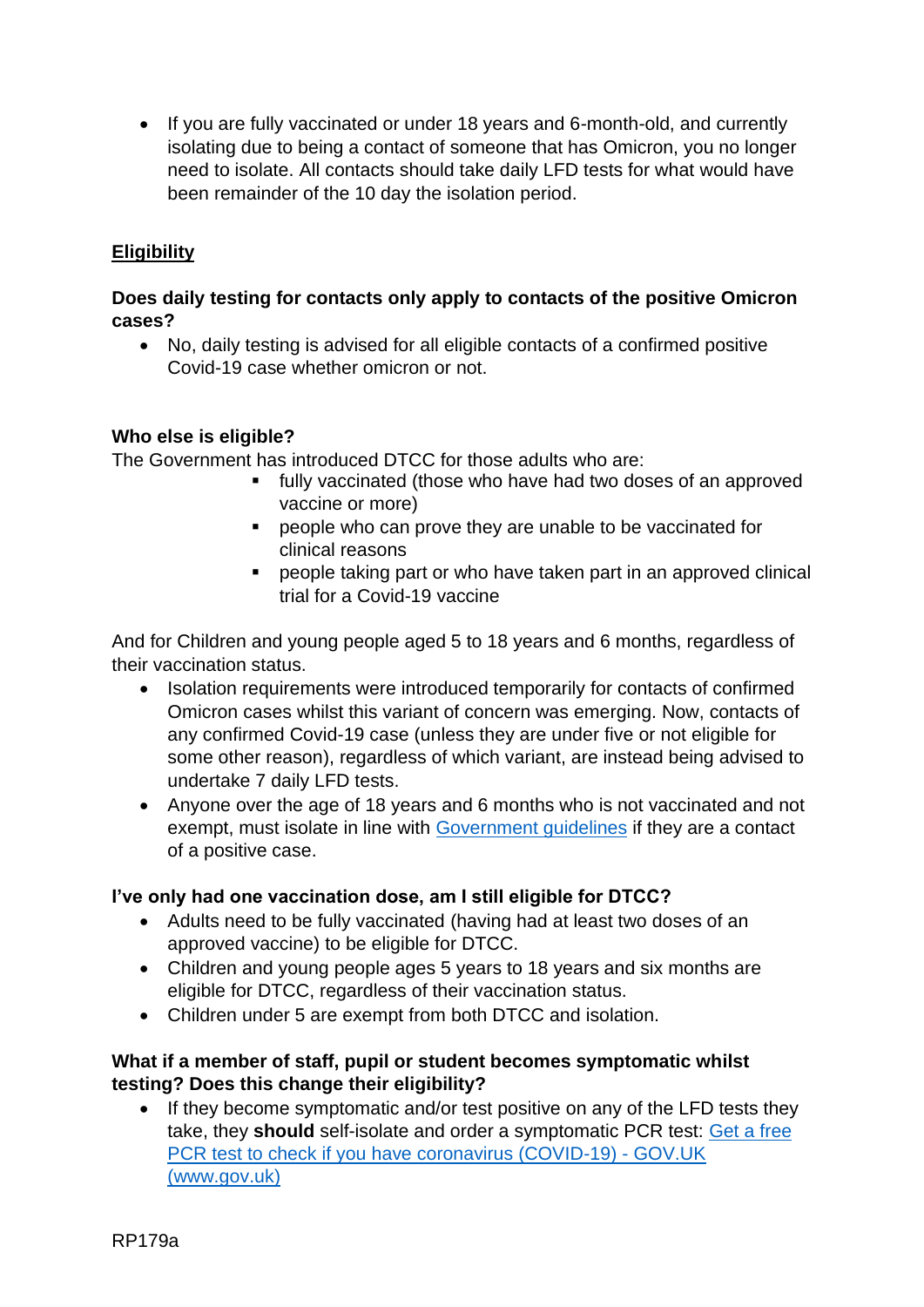• If you are fully vaccinated or under 18 years and 6-month-old, and currently isolating due to being a contact of someone that has Omicron, you no longer need to isolate. All contacts should take daily LFD tests for what would have been remainder of the 10 day the isolation period.

## **Eligibility**

#### **Does daily testing for contacts only apply to contacts of the positive Omicron cases?**

• No, daily testing is advised for all eligible contacts of a confirmed positive Covid-19 case whether omicron or not.

#### **Who else is eligible?**

The Government has introduced DTCC for those adults who are:

- fully vaccinated (those who have had two doses of an approved vaccine or more)
- people who can prove they are unable to be vaccinated for clinical reasons
- people taking part or who have taken part in an approved clinical trial for a Covid-19 vaccine

And for Children and young people aged 5 to 18 years and 6 months, regardless of their vaccination status.

- Isolation requirements were introduced temporarily for contacts of confirmed Omicron cases whilst this variant of concern was emerging. Now, contacts of any confirmed Covid-19 case (unless they are under five or not eligible for some other reason), regardless of which variant, are instead being advised to undertake 7 daily LFD tests.
- Anyone over the age of 18 years and 6 months who is not vaccinated and not exempt, must isolate in line with [Government guidelines](https://www.nhs.uk/conditions/coronavirus-covid-19/self-isolation-and-treatment/when-to-self-isolate-and-what-to-do/) if they are a contact of a positive case.

### **I've only had one vaccination dose, am I still eligible for DTCC?**

- Adults need to be fully vaccinated (having had at least two doses of an approved vaccine) to be eligible for DTCC.
- Children and young people ages 5 years to 18 years and six months are eligible for DTCC, regardless of their vaccination status.
- Children under 5 are exempt from both DTCC and isolation.

#### **What if a member of staff, pupil or student becomes symptomatic whilst testing? Does this change their eligibility?**

• If they become symptomatic and/or test positive on any of the LFD tests they take, they **should** self-isolate and order a symptomatic PCR test: [Get a free](https://www.gov.uk/get-coronavirus-test)  [PCR test to check if you have coronavirus \(COVID-19\) -](https://www.gov.uk/get-coronavirus-test) GOV.UK [\(](https://www.gov.uk/get-coronavirus-test)[www.gov.uk\)](https://ukc-word-edit.officeapps.live.com/we/www.gov.uk)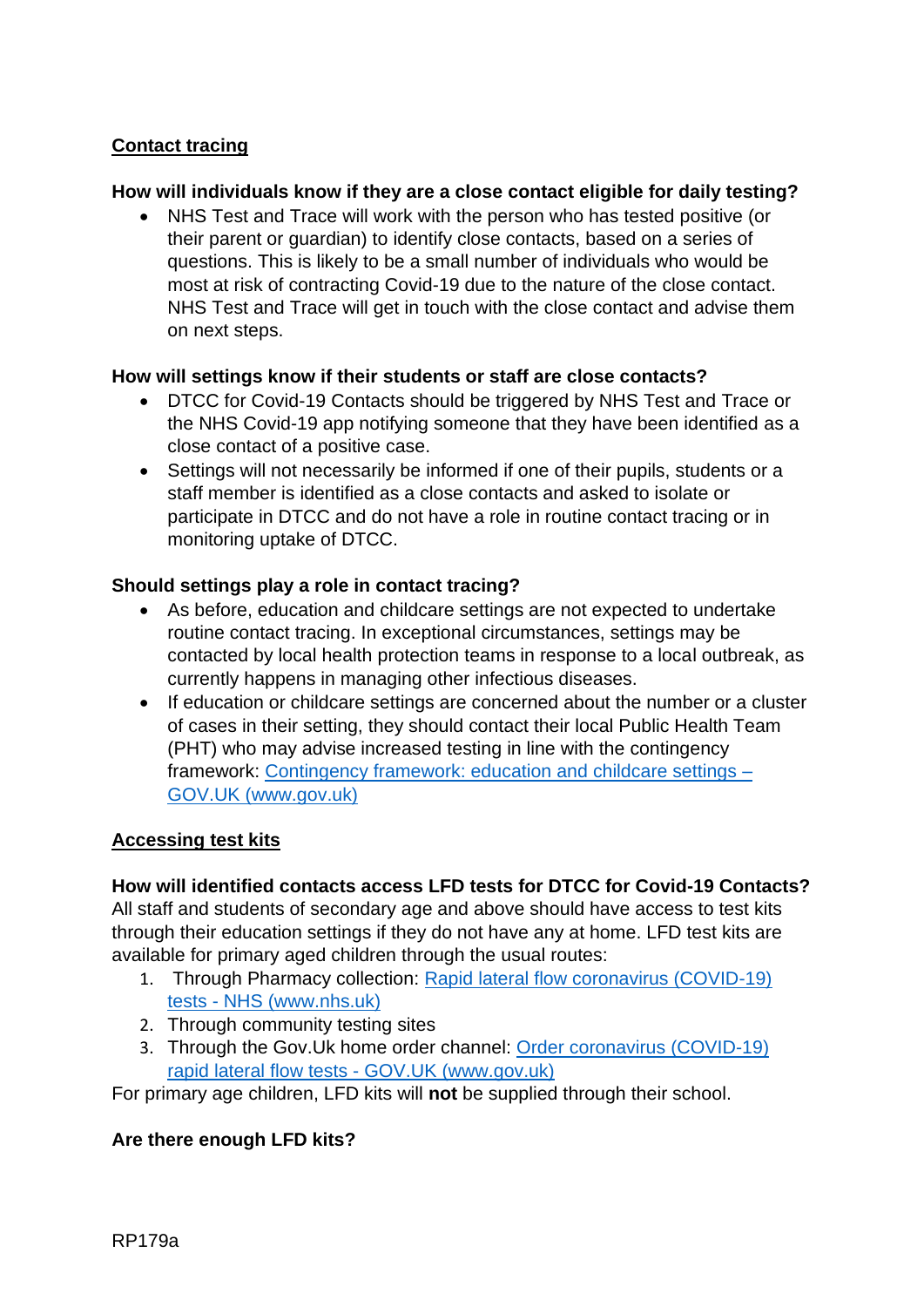### **Contact tracing**

#### **How will individuals know if they are a close contact eligible for daily testing?**

• NHS Test and Trace will work with the person who has tested positive (or their parent or guardian) to identify close contacts, based on a series of questions. This is likely to be a small number of individuals who would be most at risk of contracting Covid-19 due to the nature of the close contact. NHS Test and Trace will get in touch with the close contact and advise them on next steps.

#### **How will settings know if their students or staff are close contacts?**

- DTCC for Covid-19 Contacts should be triggered by NHS Test and Trace or the NHS Covid-19 app notifying someone that they have been identified as a close contact of a positive case.
- Settings will not necessarily be informed if one of their pupils, students or a staff member is identified as a close contacts and asked to isolate or participate in DTCC and do not have a role in routine contact tracing or in monitoring uptake of DTCC.

#### **Should settings play a role in contact tracing?**

- As before, education and childcare settings are not expected to undertake routine contact tracing. In exceptional circumstances, settings may be contacted by local health protection teams in response to a local outbreak, as currently happens in managing other infectious diseases.
- If education or childcare settings are concerned about the number or a cluster of cases in their setting, they should contact their local Public Health Team (PHT) who may advise increased testing in line with the contingency framework: [Contingency framework: education and childcare settings –](https://www.gov.uk/government/publications/coronavirus-covid-19-local-restrictions-in-education-and-childcare-settings/contingency-framework-education-and-childcare-settings) [GOV.UK \(www.gov.uk\)](https://www.gov.uk/government/publications/coronavirus-covid-19-local-restrictions-in-education-and-childcare-settings/contingency-framework-education-and-childcare-settings)

#### **Accessing test kits**

#### **How will identified contacts access LFD tests for DTCC for Covid-19 Contacts?**

All staff and students of secondary age and above should have access to test kits through their education settings if they do not have any at home. LFD test kits are available for primary aged children through the usual routes:

- 1. Through Pharmacy collection: [Rapid lateral flow coronavirus \(COVID-19\)](https://www.nhs.uk/conditions/coronavirus-covid-19/testing/regular-rapid-coronavirus-tests-if-you-do-not-have-symptoms/)  tests - [NHS \(www.nhs.uk\)](https://www.nhs.uk/conditions/coronavirus-covid-19/testing/regular-rapid-coronavirus-tests-if-you-do-not-have-symptoms/)
- 2. Through community testing sites
- 3. Through the Gov.Uk home order channel: [Order coronavirus \(COVID-19\)](https://www.gov.uk/order-coronavirus-rapid-lateral-flow-tests)  [rapid lateral flow tests -](https://www.gov.uk/order-coronavirus-rapid-lateral-flow-tests) GOV.UK (www.gov.uk)

For primary age children, LFD kits will **not** be supplied through their school.

#### **Are there enough LFD kits?**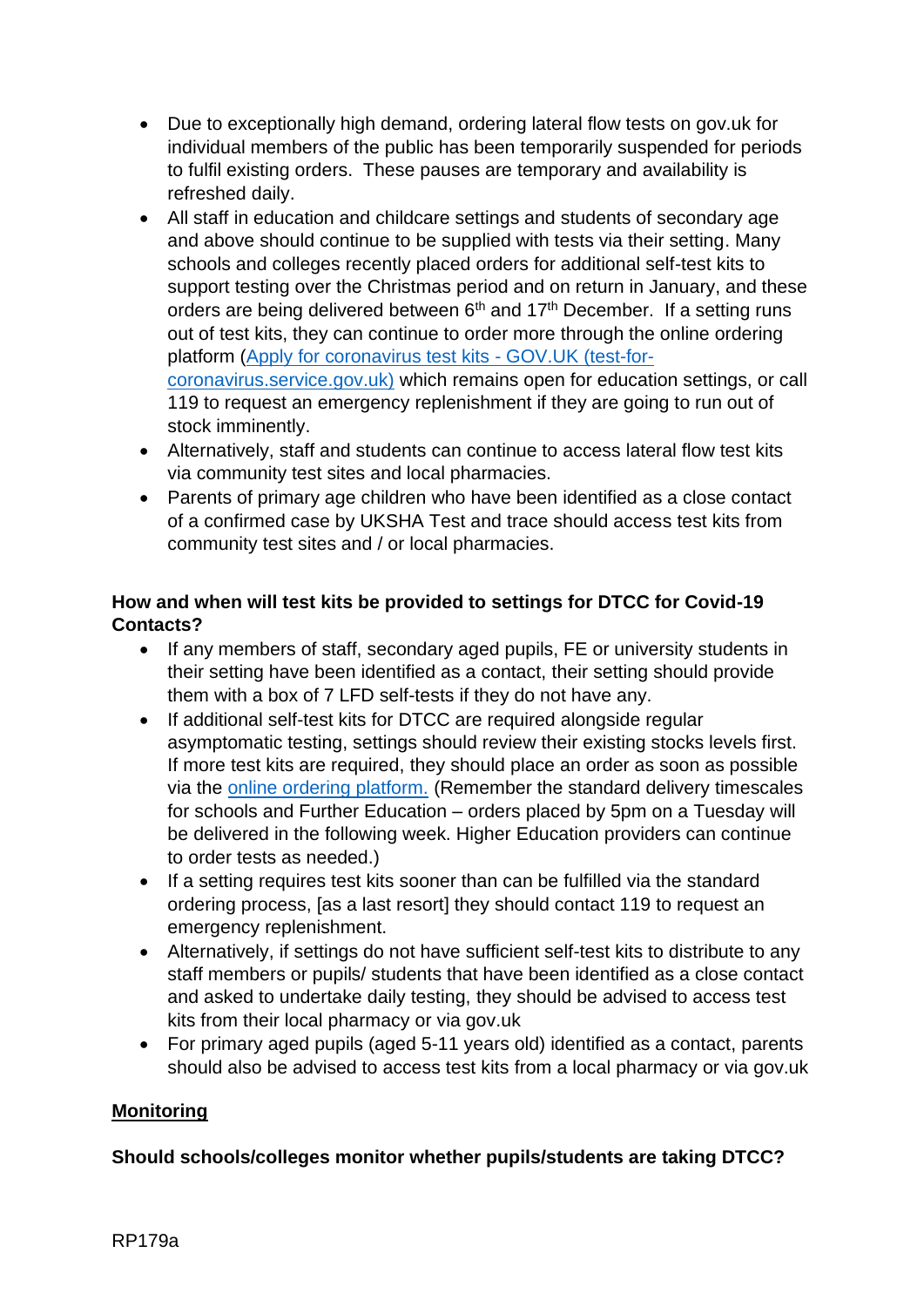- Due to exceptionally high demand, ordering lateral flow tests on gov.uk for individual members of the public has been temporarily suspended for periods to fulfil existing orders. These pauses are temporary and availability is refreshed daily.
- All staff in education and childcare settings and students of secondary age and above should continue to be supplied with tests via their setting. Many schools and colleges recently placed orders for additional self-test kits to support testing over the Christmas period and on return in January, and these orders are being delivered between 6<sup>th</sup> and 17<sup>th</sup> December. If a setting runs out of test kits, they can continue to order more through the online ordering platform [\(Apply for coronavirus test kits -](https://request-testing.test-for-coronavirus.service.gov.uk/) GOV.UK (test-for[coronavirus.service.gov.uk\)](https://request-testing.test-for-coronavirus.service.gov.uk/) which remains open for education settings, or call 119 to request an emergency replenishment if they are going to run out of stock imminently.
- Alternatively, staff and students can continue to access lateral flow test kits via community test sites and local pharmacies.
- Parents of primary age children who have been identified as a close contact of a confirmed case by UKSHA Test and trace should access test kits from community test sites and / or local pharmacies.

## **How and when will test kits be provided to settings for DTCC for Covid-19 Contacts?**

- If any members of staff, secondary aged pupils, FE or university students in their setting have been identified as a contact, their setting should provide them with a box of 7 LFD self-tests if they do not have any.
- If additional self-test kits for DTCC are required alongside regular asymptomatic testing, settings should review their existing stocks levels first. If more test kits are required, they should place an order as soon as possible via the [online ordering platform.](https://request-testing.test-for-coronavirus.service.gov.uk/) (Remember the standard delivery timescales for schools and Further Education – orders placed by 5pm on a Tuesday will be delivered in the following week. Higher Education providers can continue to order tests as needed.)
- If a setting requires test kits sooner than can be fulfilled via the standard ordering process, [as a last resort] they should contact 119 to request an emergency replenishment.
- Alternatively, if settings do not have sufficient self-test kits to distribute to any staff members or pupils/ students that have been identified as a close contact and asked to undertake daily testing, they should be advised to access test kits from their local pharmacy or via gov.uk
- For primary aged pupils (aged 5-11 years old) identified as a contact, parents should also be advised to access test kits from a local pharmacy or via gov.uk

### **Monitoring**

### **Should schools/colleges monitor whether pupils/students are taking DTCC?**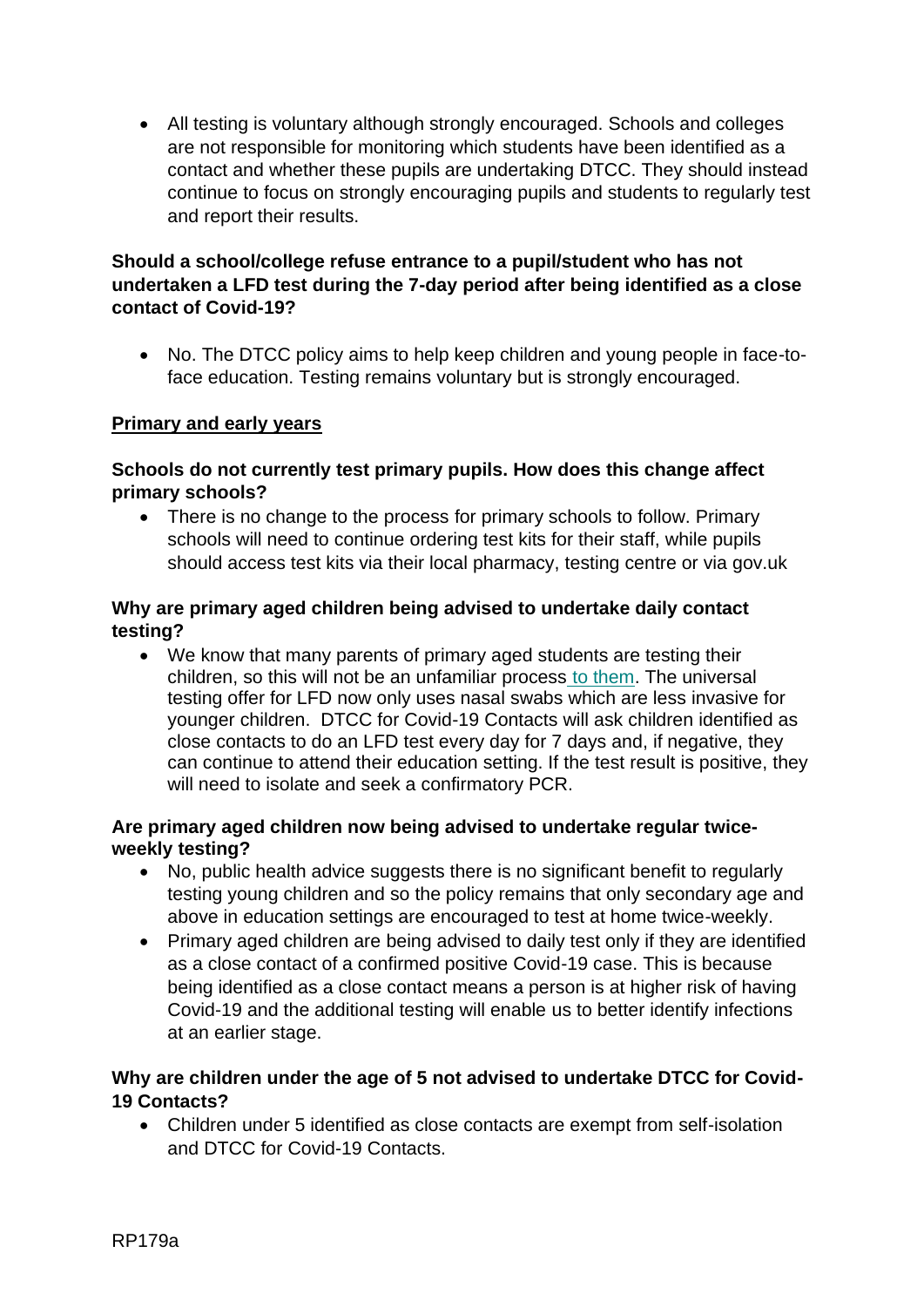• All testing is voluntary although strongly encouraged. Schools and colleges are not responsible for monitoring which students have been identified as a contact and whether these pupils are undertaking DTCC. They should instead continue to focus on strongly encouraging pupils and students to regularly test and report their results.

#### **Should a school/college refuse entrance to a pupil/student who has not undertaken a LFD test during the 7-day period after being identified as a close contact of Covid-19?**

• No. The DTCC policy aims to help keep children and young people in face-toface education. Testing remains voluntary but is strongly encouraged.

### **Primary and early years**

#### **Schools do not currently test primary pupils. How does this change affect primary schools?**

• There is no change to the process for primary schools to follow. Primary schools will need to continue ordering test kits for their staff, while pupils should access test kits via their local pharmacy, testing centre or via gov.uk

#### **Why are primary aged children being advised to undertake daily contact testing?**

• We know that many parents of primary aged students are testing their children, so this will not be an unfamiliar process to them. The universal testing offer for LFD now only uses nasal swabs which are less invasive for younger children. DTCC for Covid-19 Contacts will ask children identified as close contacts to do an LFD test every day for 7 days and, if negative, they can continue to attend their education setting. If the test result is positive, they will need to isolate and seek a confirmatory PCR.

#### **Are primary aged children now being advised to undertake regular twiceweekly testing?**

- No, public health advice suggests there is no significant benefit to regularly testing young children and so the policy remains that only secondary age and above in education settings are encouraged to test at home twice-weekly.
- Primary aged children are being advised to daily test only if they are identified as a close contact of a confirmed positive Covid-19 case. This is because being identified as a close contact means a person is at higher risk of having Covid-19 and the additional testing will enable us to better identify infections at an earlier stage.

### **Why are children under the age of 5 not advised to undertake DTCC for Covid-19 Contacts?**

• Children under 5 identified as close contacts are exempt from self-isolation and DTCC for Covid-19 Contacts.